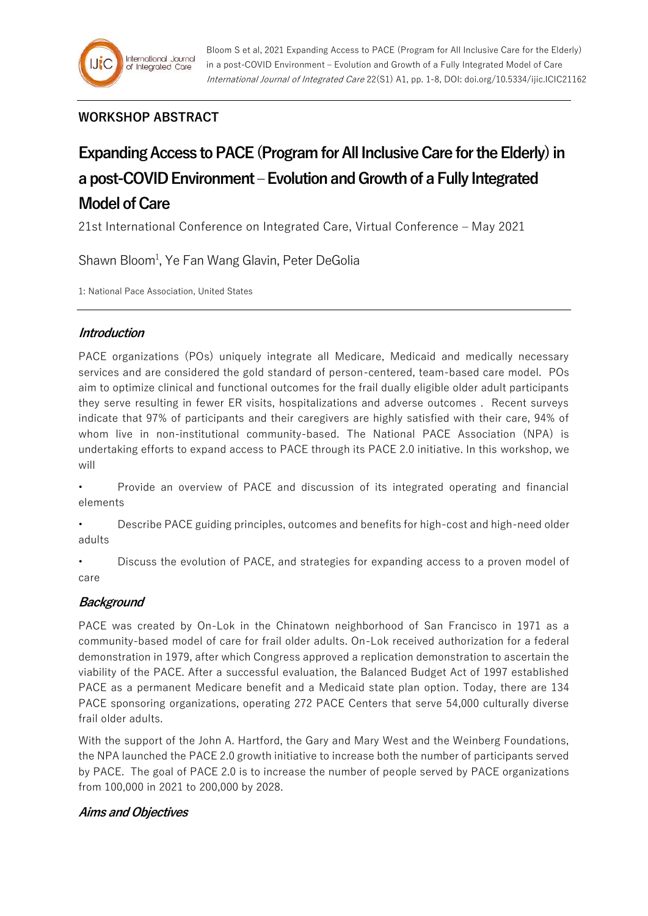## **WORKSHOP ABSTRACT**

# **Expanding Access to PACE (Program for All Inclusive Care for the Elderly) in a post-COVID Environment –Evolution and Growth of a Fully Integrated Model of Care**

21st International Conference on Integrated Care, Virtual Conference – May 2021

Shawn Bloom<sup>1</sup>, Ye Fan Wang Glavin, Peter DeGolia

1: National Pace Association, United States

#### **Introduction**

PACE organizations (POs) uniquely integrate all Medicare, Medicaid and medically necessary services and are considered the gold standard of person-centered, team-based care model. POs aim to optimize clinical and functional outcomes for the frail dually eligible older adult participants they serve resulting in fewer ER visits, hospitalizations and adverse outcomes . Recent surveys indicate that 97% of participants and their caregivers are highly satisfied with their care, 94% of whom live in non-institutional community-based. The National PACE Association (NPA) is undertaking efforts to expand access to PACE through its PACE 2.0 initiative. In this workshop, we will

• Provide an overview of PACE and discussion of its integrated operating and financial elements

• Describe PACE guiding principles, outcomes and benefits for high-cost and high-need older adults

• Discuss the evolution of PACE, and strategies for expanding access to a proven model of care

## **Background**

PACE was created by On-Lok in the Chinatown neighborhood of San Francisco in 1971 as a community-based model of care for frail older adults. On-Lok received authorization for a federal demonstration in 1979, after which Congress approved a replication demonstration to ascertain the viability of the PACE. After a successful evaluation, the Balanced Budget Act of 1997 established PACE as a permanent Medicare benefit and a Medicaid state plan option. Today, there are 134 PACE sponsoring organizations, operating 272 PACE Centers that serve 54,000 culturally diverse frail older adults.

With the support of the John A. Hartford, the Gary and Mary West and the Weinberg Foundations, the NPA launched the PACE 2.0 growth initiative to increase both the number of participants served by PACE. The goal of PACE 2.0 is to increase the number of people served by PACE organizations from 100,000 in 2021 to 200,000 by 2028.

#### **Aims and Objectives**